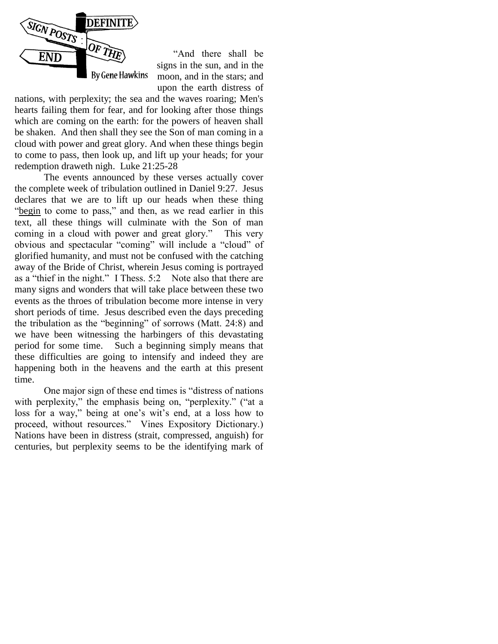

 "And there shall be signs in the sun, and in the moon, and in the stars; and upon the earth distress of

nations, with perplexity; the sea and the waves roaring; Men's hearts failing them for fear, and for looking after those things which are coming on the earth: for the powers of heaven shall be shaken. And then shall they see the Son of man coming in a cloud with power and great glory. And when these things begin to come to pass, then look up, and lift up your heads; for your redemption draweth nigh. Luke 21:25-28

The events announced by these verses actually cover the complete week of tribulation outlined in Daniel 9:27. Jesus declares that we are to lift up our heads when these thing "begin to come to pass," and then, as we read earlier in this text, all these things will culminate with the Son of man coming in a cloud with power and great glory." This very obvious and spectacular "coming" will include a "cloud" of glorified humanity, and must not be confused with the catching away of the Bride of Christ, wherein Jesus coming is portrayed as a "thief in the night." I Thess. 5:2 Note also that there are many signs and wonders that will take place between these two events as the throes of tribulation become more intense in very short periods of time. Jesus described even the days preceding the tribulation as the "beginning" of sorrows (Matt. 24:8) and we have been witnessing the harbingers of this devastating period for some time. Such a beginning simply means that these difficulties are going to intensify and indeed they are happening both in the heavens and the earth at this present time.

One major sign of these end times is "distress of nations with perplexity," the emphasis being on, "perplexity." ("at a loss for a way," being at one's wit's end, at a loss how to proceed, without resources." Vines Expository Dictionary.) Nations have been in distress (strait, compressed, anguish) for centuries, but perplexity seems to be the identifying mark of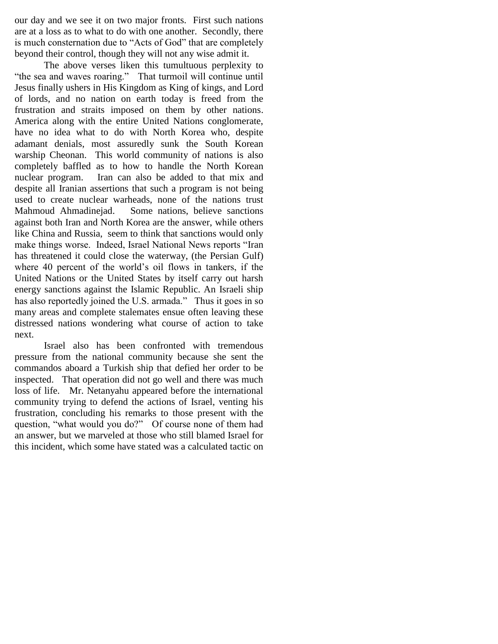our day and we see it on two major fronts. First such nations are at a loss as to what to do with one another. Secondly, there is much consternation due to "Acts of God" that are completely beyond their control, though they will not any wise admit it.

The above verses liken this tumultuous perplexity to "the sea and waves roaring." That turmoil will continue until Jesus finally ushers in His Kingdom as King of kings, and Lord of lords, and no nation on earth today is freed from the frustration and straits imposed on them by other nations. America along with the entire United Nations conglomerate, have no idea what to do with North Korea who, despite adamant denials, most assuredly sunk the South Korean warship Cheonan. This world community of nations is also completely baffled as to how to handle the North Korean nuclear program. Iran can also be added to that mix and despite all Iranian assertions that such a program is not being used to create nuclear warheads, none of the nations trust Mahmoud Ahmadinejad. Some nations, believe sanctions against both Iran and North Korea are the answer, while others like China and Russia, seem to think that sanctions would only make things worse. Indeed, Israel National News reports "Iran has threatened it could close the waterway, (the Persian Gulf) where 40 percent of the world's oil flows in tankers, if the United Nations or the United States by itself carry out harsh energy sanctions against the Islamic Republic. An Israeli ship has also reportedly joined the U.S. armada." Thus it goes in so many areas and complete stalemates ensue often leaving these distressed nations wondering what course of action to take next.

Israel also has been confronted with tremendous pressure from the national community because she sent the commandos aboard a Turkish ship that defied her order to be inspected. That operation did not go well and there was much loss of life. Mr. Netanyahu appeared before the international community trying to defend the actions of Israel, venting his frustration, concluding his remarks to those present with the question, "what would you do?" Of course none of them had an answer, but we marveled at those who still blamed Israel for this incident, which some have stated was a calculated tactic on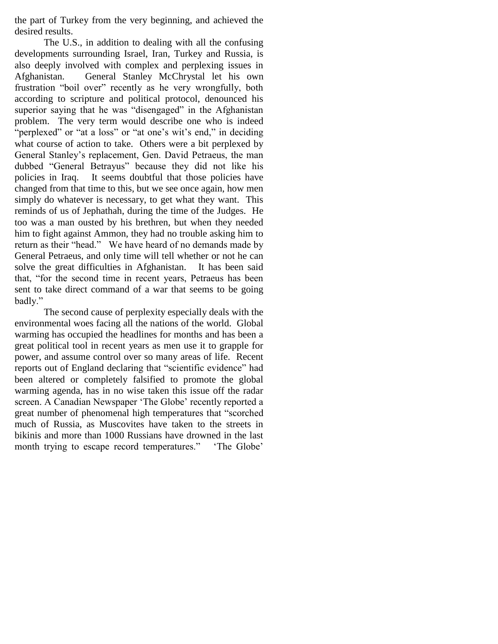the part of Turkey from the very beginning, and achieved the desired results.

The U.S., in addition to dealing with all the confusing developments surrounding Israel, Iran, Turkey and Russia, is also deeply involved with complex and perplexing issues in Afghanistan. General Stanley McChrystal let his own frustration "boil over" recently as he very wrongfully, both according to scripture and political protocol, denounced his superior saying that he was "disengaged" in the Afghanistan problem. The very term would describe one who is indeed "perplexed" or "at a loss" or "at one's wit's end," in deciding what course of action to take. Others were a bit perplexed by General Stanley"s replacement, Gen. David Petraeus, the man dubbed "General Betrayus" because they did not like his policies in Iraq. It seems doubtful that those policies have changed from that time to this, but we see once again, how men simply do whatever is necessary, to get what they want. This reminds of us of Jephathah, during the time of the Judges. He too was a man ousted by his brethren, but when they needed him to fight against Ammon, they had no trouble asking him to return as their "head." We have heard of no demands made by General Petraeus, and only time will tell whether or not he can solve the great difficulties in Afghanistan. It has been said that, "for the second time in recent years, Petraeus has been sent to take direct command of a war that seems to be going badly."

The second cause of perplexity especially deals with the environmental woes facing all the nations of the world. Global warming has occupied the headlines for months and has been a great political tool in recent years as men use it to grapple for power, and assume control over so many areas of life. Recent reports out of England declaring that "scientific evidence" had been altered or completely falsified to promote the global warming agenda, has in no wise taken this issue off the radar screen. A Canadian Newspaper 'The Globe' recently reported a great number of phenomenal high temperatures that "scorched much of Russia, as Muscovites have taken to the streets in bikinis and more than 1000 Russians have drowned in the last month trying to escape record temperatures." The Globe'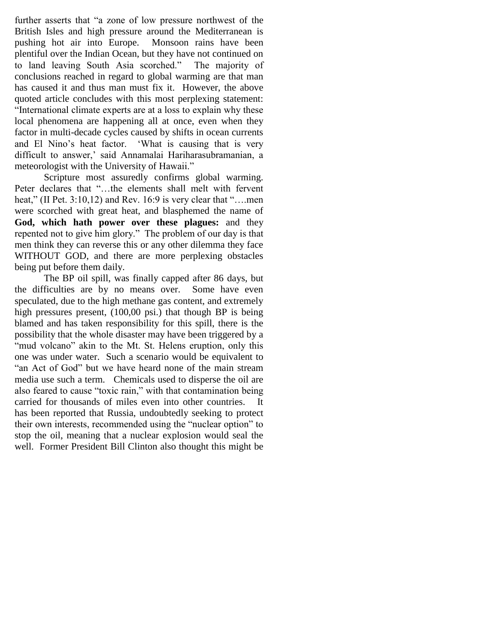further asserts that "a zone of low pressure northwest of the British Isles and high pressure around the Mediterranean is pushing hot air into Europe. Monsoon rains have been plentiful over the Indian Ocean, but they have not continued on to land leaving South Asia scorched." The majority of conclusions reached in regard to global warming are that man has caused it and thus man must fix it. However, the above quoted article concludes with this most perplexing statement: "International climate experts are at a loss to explain why these local phenomena are happening all at once, even when they factor in multi-decade cycles caused by shifts in ocean currents and El Nino"s heat factor. "What is causing that is very difficult to answer,' said Annamalai Hariharasubramanian, a meteorologist with the University of Hawaii."

Scripture most assuredly confirms global warming. Peter declares that "…the elements shall melt with fervent heat," (II Pet. 3:10,12) and Rev. 16:9 is very clear that "....men were scorched with great heat, and blasphemed the name of **God, which hath power over these plagues:** and they repented not to give him glory." The problem of our day is that men think they can reverse this or any other dilemma they face WITHOUT GOD, and there are more perplexing obstacles being put before them daily.

The BP oil spill, was finally capped after 86 days, but the difficulties are by no means over. Some have even speculated, due to the high methane gas content, and extremely high pressures present, (100,00 psi.) that though BP is being blamed and has taken responsibility for this spill, there is the possibility that the whole disaster may have been triggered by a "mud volcano" akin to the Mt. St. Helens eruption, only this one was under water. Such a scenario would be equivalent to "an Act of God" but we have heard none of the main stream media use such a term. Chemicals used to disperse the oil are also feared to cause "toxic rain," with that contamination being carried for thousands of miles even into other countries. It has been reported that Russia, undoubtedly seeking to protect their own interests, recommended using the "nuclear option" to stop the oil, meaning that a nuclear explosion would seal the well. Former President Bill Clinton also thought this might be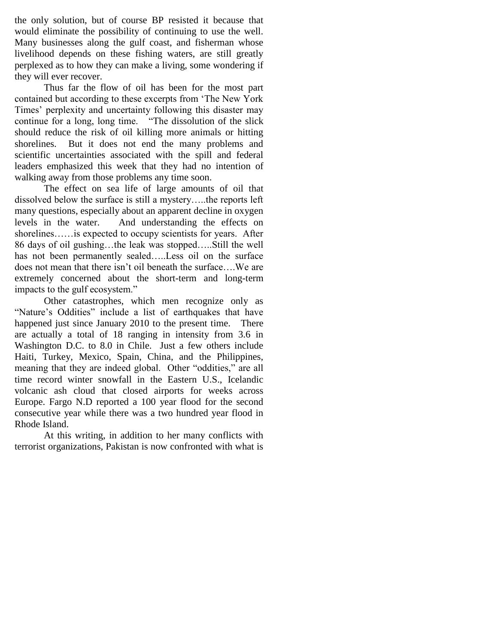the only solution, but of course BP resisted it because that would eliminate the possibility of continuing to use the well. Many businesses along the gulf coast, and fisherman whose livelihood depends on these fishing waters, are still greatly perplexed as to how they can make a living, some wondering if they will ever recover.

Thus far the flow of oil has been for the most part contained but according to these excerpts from "The New York Times' perplexity and uncertainty following this disaster may continue for a long, long time. "The dissolution of the slick should reduce the risk of oil killing more animals or hitting shorelines. But it does not end the many problems and scientific uncertainties associated with the spill and federal leaders emphasized this week that they had no intention of walking away from those problems any time soon.

The effect on sea life of large amounts of oil that dissolved below the surface is still a mystery…..the reports left many questions, especially about an apparent decline in oxygen levels in the water. And understanding the effects on shorelines……is expected to occupy scientists for years. After 86 days of oil gushing…the leak was stopped…..Still the well has not been permanently sealed.....Less oil on the surface does not mean that there isn"t oil beneath the surface….We are extremely concerned about the short-term and long-term impacts to the gulf ecosystem."

Other catastrophes, which men recognize only as "Nature's Oddities" include a list of earthquakes that have happened just since January 2010 to the present time. There are actually a total of 18 ranging in intensity from 3.6 in Washington D.C. to 8.0 in Chile. Just a few others include Haiti, Turkey, Mexico, Spain, China, and the Philippines, meaning that they are indeed global. Other "oddities," are all time record winter snowfall in the Eastern U.S., Icelandic volcanic ash cloud that closed airports for weeks across Europe. Fargo N.D reported a 100 year flood for the second consecutive year while there was a two hundred year flood in Rhode Island.

At this writing, in addition to her many conflicts with terrorist organizations, Pakistan is now confronted with what is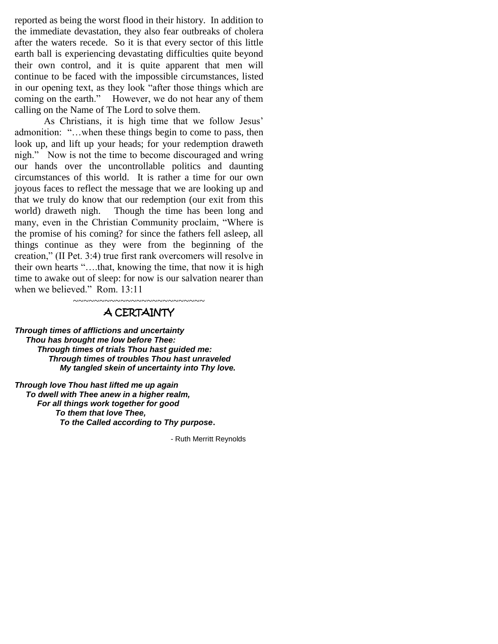reported as being the worst flood in their history. In addition to the immediate devastation, they also fear outbreaks of cholera after the waters recede. So it is that every sector of this little earth ball is experiencing devastating difficulties quite beyond their own control, and it is quite apparent that men will continue to be faced with the impossible circumstances, listed in our opening text, as they look "after those things which are coming on the earth." However, we do not hear any of them calling on the Name of The Lord to solve them.

As Christians, it is high time that we follow Jesus' admonition: "…when these things begin to come to pass, then look up, and lift up your heads; for your redemption draweth nigh." Now is not the time to become discouraged and wring our hands over the uncontrollable politics and daunting circumstances of this world. It is rather a time for our own joyous faces to reflect the message that we are looking up and that we truly do know that our redemption (our exit from this world) draweth nigh. Though the time has been long and many, even in the Christian Community proclaim, "Where is the promise of his coming? for since the fathers fell asleep, all things continue as they were from the beginning of the creation," (II Pet. 3:4) true first rank overcomers will resolve in their own hearts "….that, knowing the time, that now it is high time to awake out of sleep: for now is our salvation nearer than when we believed." Rom. 13:11

# ~~~~~~~~~~~~~~~~~~~~~~~~~ A CERTAINTY

*Through times of afflictions and uncertainty Thou has brought me low before Thee: Through times of trials Thou hast guided me: Through times of troubles Thou hast unraveled My tangled skein of uncertainty into Thy love.*

*Through love Thou hast lifted me up again To dwell with Thee anew in a higher realm, For all things work together for good To them that love Thee,* *To the Called according to Thy purpose***.**

- Ruth Merritt Reynolds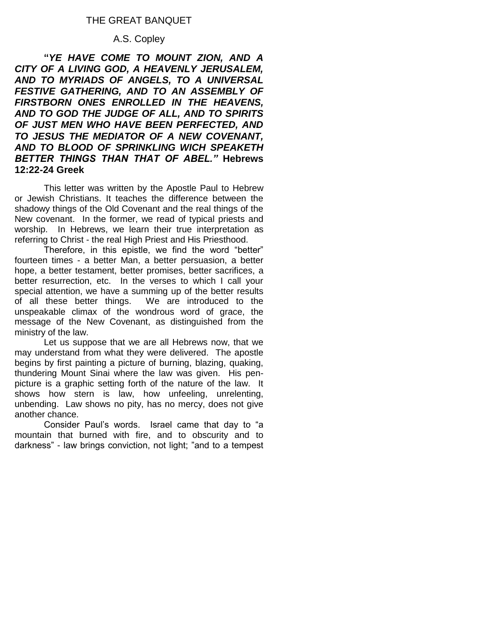# THE GREAT BANQUET

#### A.S. Copley

**"***YE HAVE COME TO MOUNT ZION, AND A CITY OF A LIVING GOD, A HEAVENLY JERUSALEM, AND TO MYRIADS OF ANGELS, TO A UNIVERSAL FESTIVE GATHERING, AND TO AN ASSEMBLY OF FIRSTBORN ONES ENROLLED IN THE HEAVENS, AND TO GOD THE JUDGE OF ALL, AND TO SPIRITS OF JUST MEN WHO HAVE BEEN PERFECTED, AND TO JESUS THE MEDIATOR OF A NEW COVENANT, AND TO BLOOD OF SPRINKLING WICH SPEAKETH BETTER THINGS THAN THAT OF ABEL."* **Hebrews 12:22-24 Greek** 

This letter was written by the Apostle Paul to Hebrew or Jewish Christians. It teaches the difference between the shadowy things of the Old Covenant and the real things of the New covenant. In the former, we read of typical priests and worship. In Hebrews, we learn their true interpretation as referring to Christ - the real High Priest and His Priesthood.

Therefore, in this epistle, we find the word "better" fourteen times - a better Man, a better persuasion, a better hope, a better testament, better promises, better sacrifices, a better resurrection, etc. In the verses to which I call your special attention, we have a summing up of the better results of all these better things. We are introduced to the unspeakable climax of the wondrous word of grace, the message of the New Covenant, as distinguished from the ministry of the law.

Let us suppose that we are all Hebrews now, that we may understand from what they were delivered. The apostle begins by first painting a picture of burning, blazing, quaking, thundering Mount Sinai where the law was given. His penpicture is a graphic setting forth of the nature of the law. It shows how stern is law, how unfeeling, unrelenting, unbending. Law shows no pity, has no mercy, does not give another chance.

Consider Paul"s words. Israel came that day to "a mountain that burned with fire, and to obscurity and to darkness" - law brings conviction, not light; "and to a tempest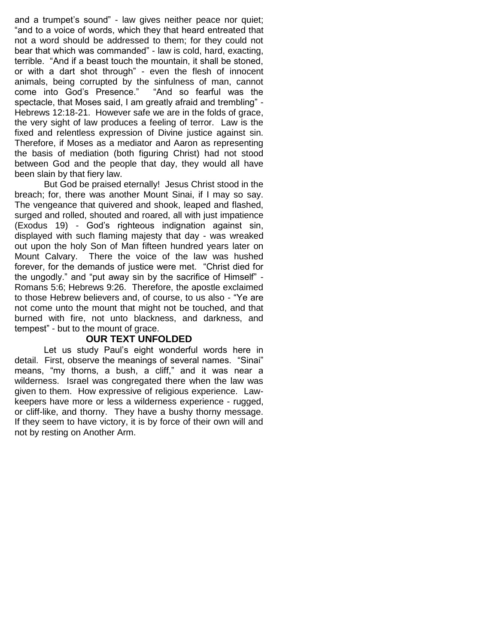and a trumpet's sound" - law gives neither peace nor quiet; "and to a voice of words, which they that heard entreated that not a word should be addressed to them; for they could not bear that which was commanded" - law is cold, hard, exacting, terrible. "And if a beast touch the mountain, it shall be stoned, or with a dart shot through" - even the flesh of innocent animals, being corrupted by the sinfulness of man, cannot come into God"s Presence." "And so fearful was the spectacle, that Moses said, I am greatly afraid and trembling" - Hebrews 12:18-21. However safe we are in the folds of grace, the very sight of law produces a feeling of terror. Law is the fixed and relentless expression of Divine justice against sin. Therefore, if Moses as a mediator and Aaron as representing the basis of mediation (both figuring Christ) had not stood between God and the people that day, they would all have been slain by that fiery law.

But God be praised eternally! Jesus Christ stood in the breach; for, there was another Mount Sinai, if I may so say. The vengeance that quivered and shook, leaped and flashed, surged and rolled, shouted and roared, all with just impatience (Exodus 19) - God"s righteous indignation against sin, displayed with such flaming majesty that day - was wreaked out upon the holy Son of Man fifteen hundred years later on Mount Calvary. There the voice of the law was hushed forever, for the demands of justice were met. "Christ died for the ungodly." and "put away sin by the sacrifice of Himself" - Romans 5:6; Hebrews 9:26. Therefore, the apostle exclaimed to those Hebrew believers and, of course, to us also - "Ye are not come unto the mount that might not be touched, and that burned with fire, not unto blackness, and darkness, and tempest" - but to the mount of grace.

### **OUR TEXT UNFOLDED**

Let us study Paul's eight wonderful words here in detail. First, observe the meanings of several names. "Sinai" means, "my thorns, a bush, a cliff," and it was near a wilderness. Israel was congregated there when the law was given to them. How expressive of religious experience. Lawkeepers have more or less a wilderness experience - rugged, or cliff-like, and thorny. They have a bushy thorny message. If they seem to have victory, it is by force of their own will and not by resting on Another Arm.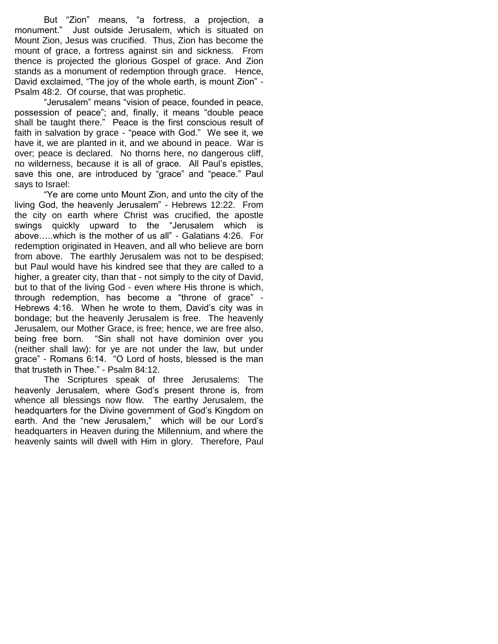But "Zion" means, "a fortress, a projection, a monument." Just outside Jerusalem, which is situated on Mount Zion, Jesus was crucified. Thus, Zion has become the mount of grace, a fortress against sin and sickness. From thence is projected the glorious Gospel of grace. And Zion stands as a monument of redemption through grace. Hence, David exclaimed, "The joy of the whole earth, is mount Zion" - Psalm 48:2. Of course, that was prophetic.

"Jerusalem" means "vision of peace, founded in peace, possession of peace"; and, finally, it means "double peace shall be taught there." Peace is the first conscious result of faith in salvation by grace - "peace with God." We see it, we have it, we are planted in it, and we abound in peace. War is over; peace is declared. No thorns here, no dangerous cliff, no wilderness, because it is all of grace. All Paul"s epistles, save this one, are introduced by "grace" and "peace." Paul says to Israel:

"Ye are come unto Mount Zion, and unto the city of the living God, the heavenly Jerusalem" - Hebrews 12:22. From the city on earth where Christ was crucified, the apostle swings quickly upward to the "Jerusalem which is above…..which is the mother of us all" - Galatians 4:26. For redemption originated in Heaven, and all who believe are born from above. The earthly Jerusalem was not to be despised; but Paul would have his kindred see that they are called to a higher, a greater city, than that - not simply to the city of David, but to that of the living God - even where His throne is which, through redemption, has become a "throne of grace" - Hebrews 4:16. When he wrote to them, David"s city was in bondage; but the heavenly Jerusalem is free. The heavenly Jerusalem, our Mother Grace, is free; hence, we are free also, being free born. "Sin shall not have dominion over you (neither shall law): for ye are not under the law, but under grace" - Romans 6:14. "O Lord of hosts, blessed is the man that trusteth in Thee." - Psalm 84:12.

The Scriptures speak of three Jerusalems: The heavenly Jerusalem, where God"s present throne is, from whence all blessings now flow. The earthy Jerusalem, the headquarters for the Divine government of God"s Kingdom on earth. And the "new Jerusalem," which will be our Lord's headquarters in Heaven during the Millennium, and where the heavenly saints will dwell with Him in glory. Therefore, Paul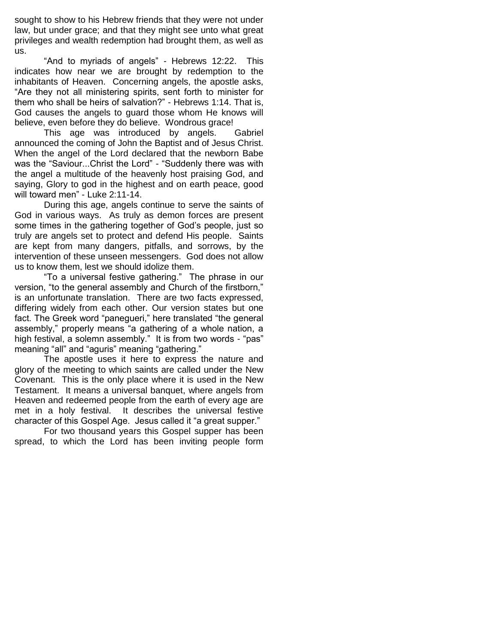sought to show to his Hebrew friends that they were not under law, but under grace; and that they might see unto what great privileges and wealth redemption had brought them, as well as us.

"And to myriads of angels" - Hebrews 12:22. This indicates how near we are brought by redemption to the inhabitants of Heaven. Concerning angels, the apostle asks, "Are they not all ministering spirits, sent forth to minister for them who shall be heirs of salvation?" - Hebrews 1:14. That is, God causes the angels to guard those whom He knows will believe, even before they do believe. Wondrous grace!

This age was introduced by angels. Gabriel announced the coming of John the Baptist and of Jesus Christ. When the angel of the Lord declared that the newborn Babe was the "Saviour...Christ the Lord" - "Suddenly there was with the angel a multitude of the heavenly host praising God, and saying, Glory to god in the highest and on earth peace, good will toward men" - Luke 2:11-14.

During this age, angels continue to serve the saints of God in various ways. As truly as demon forces are present some times in the gathering together of God"s people, just so truly are angels set to protect and defend His people. Saints are kept from many dangers, pitfalls, and sorrows, by the intervention of these unseen messengers. God does not allow us to know them, lest we should idolize them.

"To a universal festive gathering." The phrase in our version, "to the general assembly and Church of the firstborn," is an unfortunate translation. There are two facts expressed, differing widely from each other. Our version states but one fact. The Greek word "panegueri," here translated "the general assembly," properly means "a gathering of a whole nation, a high festival, a solemn assembly." It is from two words - "pas" meaning "all" and "aguris" meaning "gathering."

The apostle uses it here to express the nature and glory of the meeting to which saints are called under the New Covenant. This is the only place where it is used in the New Testament. It means a universal banquet, where angels from Heaven and redeemed people from the earth of every age are met in a holy festival. It describes the universal festive character of this Gospel Age. Jesus called it "a great supper."

For two thousand years this Gospel supper has been spread, to which the Lord has been inviting people form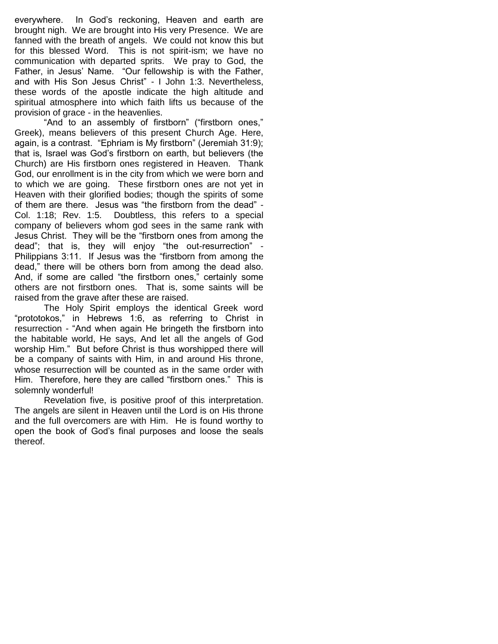everywhere. In God"s reckoning, Heaven and earth are brought nigh. We are brought into His very Presence. We are fanned with the breath of angels. We could not know this but for this blessed Word. This is not spirit-ism; we have no communication with departed sprits. We pray to God, the Father, in Jesus" Name. "Our fellowship is with the Father, and with His Son Jesus Christ" - I John 1:3. Nevertheless, these words of the apostle indicate the high altitude and spiritual atmosphere into which faith lifts us because of the provision of grace - in the heavenlies.

"And to an assembly of firstborn" ("firstborn ones," Greek), means believers of this present Church Age. Here, again, is a contrast. "Ephriam is My firstborn" (Jeremiah 31:9); that is, Israel was God"s firstborn on earth, but believers (the Church) are His firstborn ones registered in Heaven. Thank God, our enrollment is in the city from which we were born and to which we are going. These firstborn ones are not yet in Heaven with their glorified bodies; though the spirits of some of them are there. Jesus was "the firstborn from the dead" - Col. 1:18; Rev. 1:5. Doubtless, this refers to a special company of believers whom god sees in the same rank with Jesus Christ. They will be the "firstborn ones from among the dead"; that is, they will enjoy "the out-resurrection" - Philippians 3:11. If Jesus was the "firstborn from among the dead," there will be others born from among the dead also. And, if some are called "the firstborn ones," certainly some others are not firstborn ones. That is, some saints will be raised from the grave after these are raised.

The Holy Spirit employs the identical Greek word "prototokos," in Hebrews 1:6, as referring to Christ in resurrection - "And when again He bringeth the firstborn into the habitable world, He says, And let all the angels of God worship Him." But before Christ is thus worshipped there will be a company of saints with Him, in and around His throne, whose resurrection will be counted as in the same order with Him. Therefore, here they are called "firstborn ones." This is solemnly wonderful!

Revelation five, is positive proof of this interpretation. The angels are silent in Heaven until the Lord is on His throne and the full overcomers are with Him. He is found worthy to open the book of God"s final purposes and loose the seals thereof.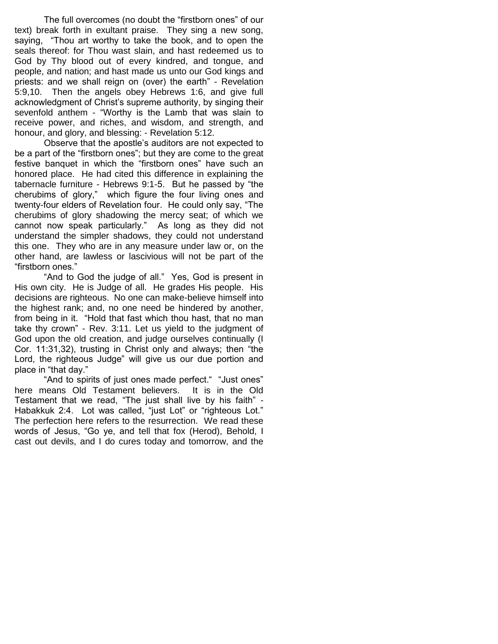The full overcomes (no doubt the "firstborn ones" of our text) break forth in exultant praise. They sing a new song, saying, "Thou art worthy to take the book, and to open the seals thereof: for Thou wast slain, and hast redeemed us to God by Thy blood out of every kindred, and tongue, and people, and nation; and hast made us unto our God kings and priests: and we shall reign on (over) the earth" - Revelation 5:9,10. Then the angels obey Hebrews 1:6, and give full acknowledgment of Christ"s supreme authority, by singing their sevenfold anthem - "Worthy is the Lamb that was slain to receive power, and riches, and wisdom, and strength, and honour, and glory, and blessing: - Revelation 5:12.

Observe that the apostle"s auditors are not expected to be a part of the "firstborn ones"; but they are come to the great festive banquet in which the "firstborn ones" have such an honored place. He had cited this difference in explaining the tabernacle furniture - Hebrews 9:1-5. But he passed by "the cherubims of glory," which figure the four living ones and twenty-four elders of Revelation four. He could only say, "The cherubims of glory shadowing the mercy seat; of which we cannot now speak particularly." As long as they did not understand the simpler shadows, they could not understand this one. They who are in any measure under law or, on the other hand, are lawless or lascivious will not be part of the "firstborn ones."

"And to God the judge of all." Yes, God is present in His own city. He is Judge of all. He grades His people. His decisions are righteous. No one can make-believe himself into the highest rank; and, no one need be hindered by another, from being in it. "Hold that fast which thou hast, that no man take thy crown" - Rev. 3:11. Let us yield to the judgment of God upon the old creation, and judge ourselves continually (I Cor. 11:31,32), trusting in Christ only and always; then "the Lord, the righteous Judge" will give us our due portion and place in "that day."

"And to spirits of just ones made perfect." "Just ones" here means Old Testament believers. It is in the Old Testament that we read, "The just shall live by his faith" - Habakkuk 2:4. Lot was called, "just Lot" or "righteous Lot." The perfection here refers to the resurrection. We read these words of Jesus, "Go ye, and tell that fox (Herod), Behold, I cast out devils, and I do cures today and tomorrow, and the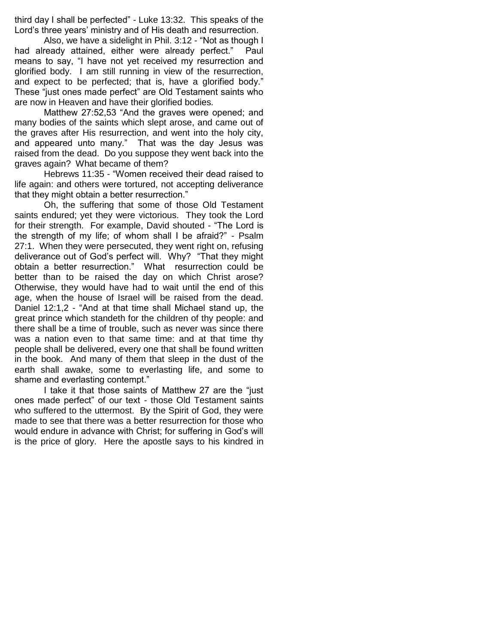third day I shall be perfected" - Luke 13:32. This speaks of the Lord"s three years" ministry and of His death and resurrection.

Also, we have a sidelight in Phil. 3:12 - "Not as though I had already attained, either were already perfect." Paul means to say, "I have not yet received my resurrection and glorified body. I am still running in view of the resurrection, and expect to be perfected; that is, have a glorified body." These "just ones made perfect" are Old Testament saints who are now in Heaven and have their glorified bodies.

Matthew 27:52,53 "And the graves were opened; and many bodies of the saints which slept arose, and came out of the graves after His resurrection, and went into the holy city, and appeared unto many." That was the day Jesus was raised from the dead. Do you suppose they went back into the graves again? What became of them?

Hebrews 11:35 - "Women received their dead raised to life again: and others were tortured, not accepting deliverance that they might obtain a better resurrection."

Oh, the suffering that some of those Old Testament saints endured; yet they were victorious. They took the Lord for their strength. For example, David shouted - "The Lord is the strength of my life; of whom shall I be afraid?" - Psalm 27:1. When they were persecuted, they went right on, refusing deliverance out of God"s perfect will. Why? "That they might obtain a better resurrection." What resurrection could be better than to be raised the day on which Christ arose? Otherwise, they would have had to wait until the end of this age, when the house of Israel will be raised from the dead. Daniel 12:1,2 - "And at that time shall Michael stand up, the great prince which standeth for the children of thy people: and there shall be a time of trouble, such as never was since there was a nation even to that same time: and at that time thy people shall be delivered, every one that shall be found written in the book. And many of them that sleep in the dust of the earth shall awake, some to everlasting life, and some to shame and everlasting contempt."

I take it that those saints of Matthew 27 are the "just ones made perfect" of our text - those Old Testament saints who suffered to the uttermost. By the Spirit of God, they were made to see that there was a better resurrection for those who would endure in advance with Christ; for suffering in God"s will is the price of glory. Here the apostle says to his kindred in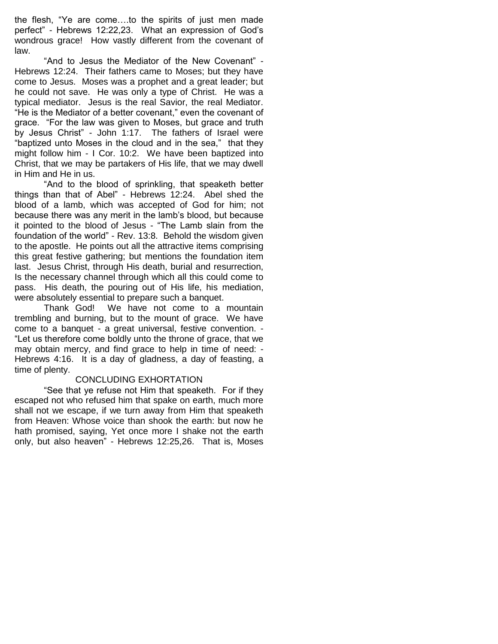the flesh, "Ye are come….to the spirits of just men made perfect" - Hebrews 12:22,23. What an expression of God"s wondrous grace! How vastly different from the covenant of law.

"And to Jesus the Mediator of the New Covenant" - Hebrews 12:24. Their fathers came to Moses; but they have come to Jesus. Moses was a prophet and a great leader; but he could not save. He was only a type of Christ. He was a typical mediator. Jesus is the real Savior, the real Mediator. "He is the Mediator of a better covenant," even the covenant of grace. "For the law was given to Moses, but grace and truth by Jesus Christ" - John 1:17. The fathers of Israel were "baptized unto Moses in the cloud and in the sea," that they might follow him - I Cor. 10:2. We have been baptized into Christ, that we may be partakers of His life, that we may dwell in Him and He in us.

"And to the blood of sprinkling, that speaketh better things than that of Abel" - Hebrews 12:24. Abel shed the blood of a lamb, which was accepted of God for him; not because there was any merit in the lamb"s blood, but because it pointed to the blood of Jesus - "The Lamb slain from the foundation of the world" - Rev. 13:8. Behold the wisdom given to the apostle. He points out all the attractive items comprising this great festive gathering; but mentions the foundation item last. Jesus Christ, through His death, burial and resurrection, Is the necessary channel through which all this could come to pass. His death, the pouring out of His life, his mediation, were absolutely essential to prepare such a banquet.

Thank God! We have not come to a mountain trembling and burning, but to the mount of grace. We have come to a banquet - a great universal, festive convention. - "Let us therefore come boldly unto the throne of grace, that we may obtain mercy, and find grace to help in time of need: - Hebrews 4:16. It is a day of gladness, a day of feasting, a time of plenty.

#### CONCLUDING EXHORTATION

"See that ye refuse not Him that speaketh. For if they escaped not who refused him that spake on earth, much more shall not we escape, if we turn away from Him that speaketh from Heaven: Whose voice than shook the earth: but now he hath promised, saying, Yet once more I shake not the earth only, but also heaven" - Hebrews 12:25,26. That is, Moses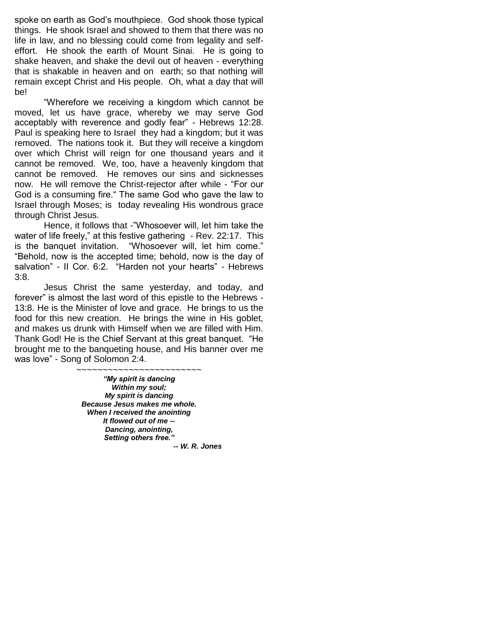spoke on earth as God"s mouthpiece. God shook those typical things. He shook Israel and showed to them that there was no life in law, and no blessing could come from legality and selfeffort. He shook the earth of Mount Sinai. He is going to shake heaven, and shake the devil out of heaven - everything that is shakable in heaven and on earth; so that nothing will remain except Christ and His people. Oh, what a day that will be!

"Wherefore we receiving a kingdom which cannot be moved, let us have grace, whereby we may serve God acceptably with reverence and godly fear" - Hebrews 12:28. Paul is speaking here to Israel they had a kingdom; but it was removed. The nations took it. But they will receive a kingdom over which Christ will reign for one thousand years and it cannot be removed. We, too, have a heavenly kingdom that cannot be removed. He removes our sins and sicknesses now. He will remove the Christ-rejector after while - "For our God is a consuming fire." The same God who gave the law to Israel through Moses; is today revealing His wondrous grace through Christ Jesus.

Hence, it follows that -"Whosoever will, let him take the water of life freely," at this festive gathering - Rev. 22:17. This is the banquet invitation. "Whosoever will, let him come." "Behold, now is the accepted time; behold, now is the day of salvation" - II Cor. 6:2. "Harden not your hearts" - Hebrews 3:8.

Jesus Christ the same yesterday, and today, and forever" is almost the last word of this epistle to the Hebrews - 13:8. He is the Minister of love and grace. He brings to us the food for this new creation. He brings the wine in His goblet, and makes us drunk with Himself when we are filled with Him. Thank God! He is the Chief Servant at this great banquet. "He brought me to the banqueting house, and His banner over me was love" - Song of Solomon 2:4.

> ~~~~~~~~~~~~~~~~~~~~~~~ *"My spirit is dancing Within my soul; My spirit is dancing Because Jesus makes me whole. When I received the anointing It flowed out of me -- Dancing, anointing, Setting others free."*

 *-- W. R. Jones*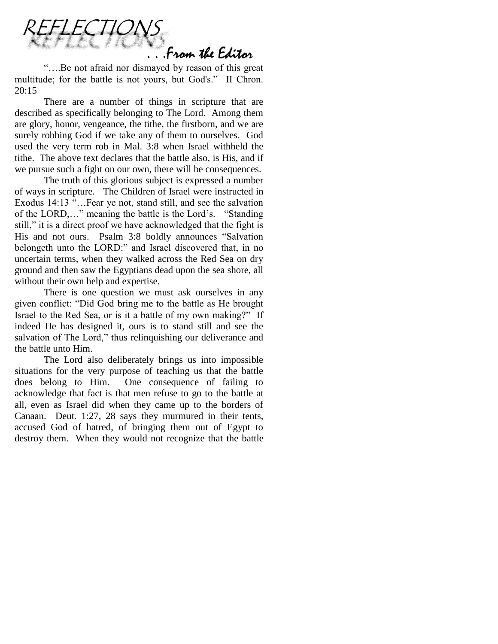

"….Be not afraid nor dismayed by reason of this great multitude; for the battle is not yours, but God's." II Chron. 20:15

There are a number of things in scripture that are described as specifically belonging to The Lord. Among them are glory, honor, vengeance, the tithe, the firstborn, and we are surely robbing God if we take any of them to ourselves. God used the very term rob in Mal. 3:8 when Israel withheld the tithe. The above text declares that the battle also, is His, and if we pursue such a fight on our own, there will be consequences.

The truth of this glorious subject is expressed a number of ways in scripture. The Children of Israel were instructed in Exodus 14:13 "…Fear ye not, stand still, and see the salvation of the LORD,…" meaning the battle is the Lord"s. "Standing still," it is a direct proof we have acknowledged that the fight is His and not ours. Psalm 3:8 boldly announces "Salvation belongeth unto the LORD:" and Israel discovered that, in no uncertain terms, when they walked across the Red Sea on dry ground and then saw the Egyptians dead upon the sea shore, all without their own help and expertise.

There is one question we must ask ourselves in any given conflict: "Did God bring me to the battle as He brought Israel to the Red Sea, or is it a battle of my own making?" If indeed He has designed it, ours is to stand still and see the salvation of The Lord," thus relinquishing our deliverance and the battle unto Him.

The Lord also deliberately brings us into impossible situations for the very purpose of teaching us that the battle does belong to Him. One consequence of failing to acknowledge that fact is that men refuse to go to the battle at all, even as Israel did when they came up to the borders of Canaan. Deut. 1:27, 28 says they murmured in their tents, accused God of hatred, of bringing them out of Egypt to destroy them. When they would not recognize that the battle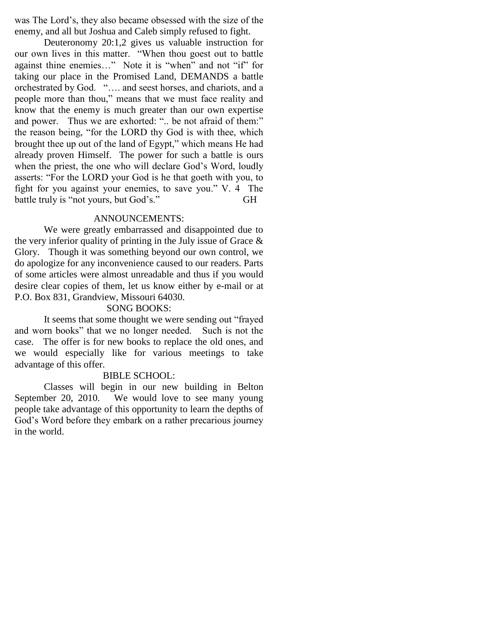was The Lord"s, they also became obsessed with the size of the enemy, and all but Joshua and Caleb simply refused to fight.

Deuteronomy 20:1,2 gives us valuable instruction for our own lives in this matter. "When thou goest out to battle against thine enemies…" Note it is "when" and not "if" for taking our place in the Promised Land, DEMANDS a battle orchestrated by God. "…. and seest horses, and chariots, and a people more than thou," means that we must face reality and know that the enemy is much greater than our own expertise and power. Thus we are exhorted: ".. be not afraid of them:" the reason being, "for the LORD thy God is with thee, which brought thee up out of the land of Egypt," which means He had already proven Himself. The power for such a battle is ours when the priest, the one who will declare God's Word, loudly asserts: "For the LORD your God is he that goeth with you, to fight for you against your enemies, to save you." V. 4 The battle truly is "not yours, but God's." GH

#### ANNOUNCEMENTS:

We were greatly embarrassed and disappointed due to the very inferior quality of printing in the July issue of Grace  $\&$ Glory. Though it was something beyond our own control, we do apologize for any inconvenience caused to our readers. Parts of some articles were almost unreadable and thus if you would desire clear copies of them, let us know either by e-mail or at P.O. Box 831, Grandview, Missouri 64030.

## SONG BOOKS:

It seems that some thought we were sending out "frayed and worn books" that we no longer needed. Such is not the case. The offer is for new books to replace the old ones, and we would especially like for various meetings to take advantage of this offer.

# BIBLE SCHOOL:

Classes will begin in our new building in Belton September 20, 2010. We would love to see many young people take advantage of this opportunity to learn the depths of God"s Word before they embark on a rather precarious journey in the world.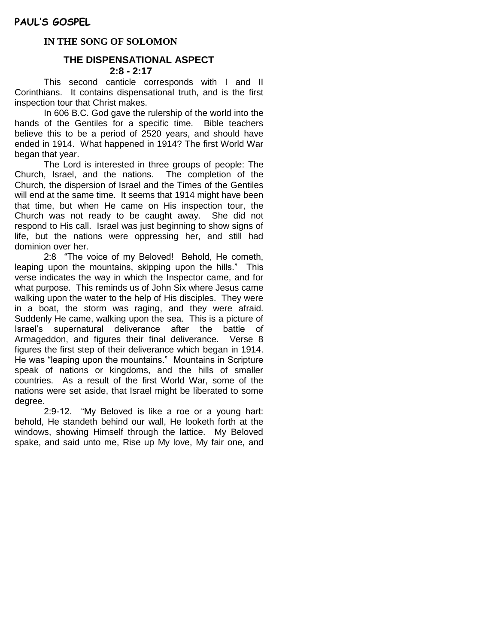### **IN THE SONG OF SOLOMON**

### **THE DISPENSATIONAL ASPECT 2:8 - 2:17**

This second canticle corresponds with I and II Corinthians. It contains dispensational truth, and is the first inspection tour that Christ makes.

In 606 B.C. God gave the rulership of the world into the hands of the Gentiles for a specific time. Bible teachers believe this to be a period of 2520 years, and should have ended in 1914. What happened in 1914? The first World War began that year.

The Lord is interested in three groups of people: The Church, Israel, and the nations. The completion of the Church, the dispersion of Israel and the Times of the Gentiles will end at the same time. It seems that 1914 might have been that time, but when He came on His inspection tour, the Church was not ready to be caught away. She did not respond to His call. Israel was just beginning to show signs of life, but the nations were oppressing her, and still had dominion over her.

2:8 "The voice of my Beloved! Behold, He cometh, leaping upon the mountains, skipping upon the hills." This verse indicates the way in which the Inspector came, and for what purpose. This reminds us of John Six where Jesus came walking upon the water to the help of His disciples. They were in a boat, the storm was raging, and they were afraid. Suddenly He came, walking upon the sea. This is a picture of Israel"s supernatural deliverance after the battle of Armageddon, and figures their final deliverance. Verse 8 figures the first step of their deliverance which began in 1914. He was "leaping upon the mountains." Mountains in Scripture speak of nations or kingdoms, and the hills of smaller countries. As a result of the first World War, some of the nations were set aside, that Israel might be liberated to some degree.

2:9-12. "My Beloved is like a roe or a young hart: behold, He standeth behind our wall, He looketh forth at the windows, showing Himself through the lattice. My Beloved spake, and said unto me, Rise up My love, My fair one, and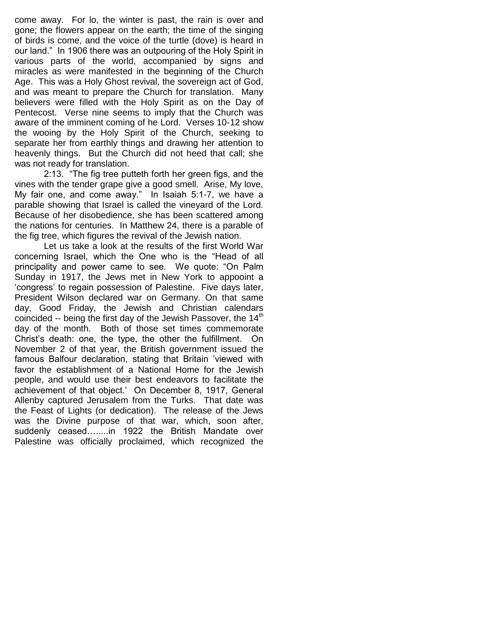come away. For lo, the winter is past, the rain is over and gone; the flowers appear on the earth; the time of the singing of birds is come, and the voice of the turtle (dove) is heard in our land." In 1906 there was an outpouring of the Holy Spirit in various parts of the world, accompanied by signs and miracles as were manifested in the beginning of the Church Age. This was a Holy Ghost revival, the sovereign act of God, and was meant to prepare the Church for translation. Many believers were filled with the Holy Spirit as on the Day of Pentecost. Verse nine seems to imply that the Church was aware of the imminent coming of he Lord. Verses 10-12 show the wooing by the Holy Spirit of the Church, seeking to separate her from earthly things and drawing her attention to heavenly things. But the Church did not heed that call; she was not ready for translation.

2:13. "The fig tree putteth forth her green figs, and the vines with the tender grape give a good smell. Arise, My love, My fair one, and come away." In Isaiah 5:1-7, we have a parable showing that Israel is called the vineyard of the Lord. Because of her disobedience, she has been scattered among the nations for centuries. In Matthew 24, there is a parable of the fig tree, which figures the revival of the Jewish nation.

Let us take a look at the results of the first World War concerning Israel, which the One who is the "Head of all principality and power came to see. We quote: "On Palm Sunday in 1917, the Jews met in New York to appooint a "congress" to regain possession of Palestine. Five days later, President Wilson declared war on Germany. On that same day, Good Friday, the Jewish and Christian calendars coincided  $-$  being the first day of the Jewish Passover, the 14<sup>th</sup> day of the month. Both of those set times commemorate Christ"s death: one, the type, the other the fulfillment. On November 2 of that year, the British government issued the famous Balfour declaration, stating that Britain "viewed with favor the establishment of a National Home for the Jewish people, and would use their best endeavors to facilitate the achievement of that object." On December 8, 1917, General Allenby captured Jerusalem from the Turks. That date was the Feast of Lights (or dedication). The release of the Jews was the Divine purpose of that war, which, soon after, suddenly ceased….....in 1922 the British Mandate over Palestine was officially proclaimed, which recognized the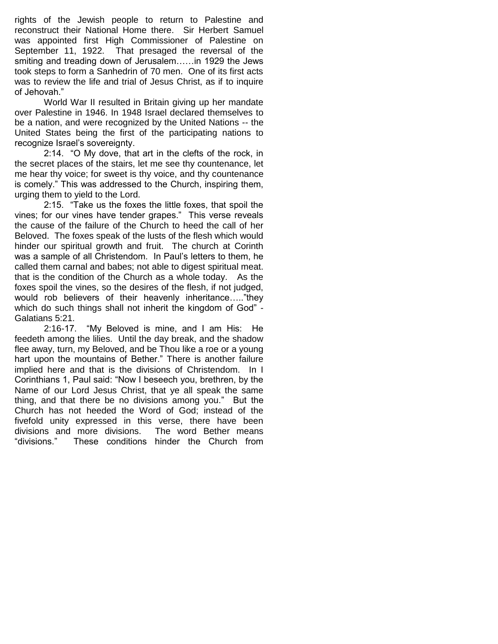rights of the Jewish people to return to Palestine and reconstruct their National Home there. Sir Herbert Samuel was appointed first High Commissioner of Palestine on September 11, 1922. That presaged the reversal of the smiting and treading down of Jerusalem……in 1929 the Jews took steps to form a Sanhedrin of 70 men. One of its first acts was to review the life and trial of Jesus Christ, as if to inquire of Jehovah."

World War II resulted in Britain giving up her mandate over Palestine in 1946. In 1948 Israel declared themselves to be a nation, and were recognized by the United Nations -- the United States being the first of the participating nations to recognize Israel"s sovereignty.

2:14. "O My dove, that art in the clefts of the rock, in the secret places of the stairs, let me see thy countenance, let me hear thy voice; for sweet is thy voice, and thy countenance is comely." This was addressed to the Church, inspiring them, urging them to yield to the Lord.

2:15. "Take us the foxes the little foxes, that spoil the vines; for our vines have tender grapes." This verse reveals the cause of the failure of the Church to heed the call of her Beloved. The foxes speak of the lusts of the flesh which would hinder our spiritual growth and fruit. The church at Corinth was a sample of all Christendom. In Paul"s letters to them, he called them carnal and babes; not able to digest spiritual meat. that is the condition of the Church as a whole today. As the foxes spoil the vines, so the desires of the flesh, if not judged, would rob believers of their heavenly inheritance….."they which do such things shall not inherit the kingdom of God" -Galatians 5:21.

2:16-17. "My Beloved is mine, and I am His: He feedeth among the lilies. Until the day break, and the shadow flee away, turn, my Beloved, and be Thou like a roe or a young hart upon the mountains of Bether." There is another failure implied here and that is the divisions of Christendom. In I Corinthians 1, Paul said: "Now I beseech you, brethren, by the Name of our Lord Jesus Christ, that ye all speak the same thing, and that there be no divisions among you." But the Church has not heeded the Word of God; instead of the fivefold unity expressed in this verse, there have been divisions and more divisions. The word Bether means "divisions." These conditions hinder the Church from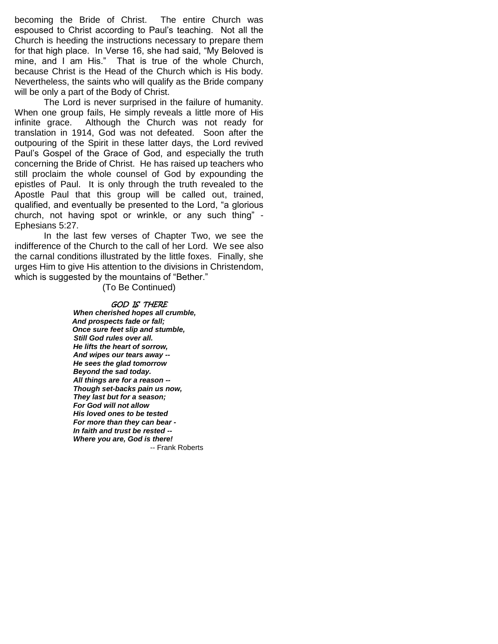becoming the Bride of Christ. The entire Church was espoused to Christ according to Paul"s teaching. Not all the Church is heeding the instructions necessary to prepare them for that high place. In Verse 16, she had said, "My Beloved is mine, and I am His." That is true of the whole Church, because Christ is the Head of the Church which is His body. Nevertheless, the saints who will qualify as the Bride company will be only a part of the Body of Christ.

The Lord is never surprised in the failure of humanity. When one group fails, He simply reveals a little more of His infinite grace. Although the Church was not ready for translation in 1914, God was not defeated. Soon after the outpouring of the Spirit in these latter days, the Lord revived Paul"s Gospel of the Grace of God, and especially the truth concerning the Bride of Christ. He has raised up teachers who still proclaim the whole counsel of God by expounding the epistles of Paul. It is only through the truth revealed to the Apostle Paul that this group will be called out, trained, qualified, and eventually be presented to the Lord, "a glorious church, not having spot or wrinkle, or any such thing" - Ephesians 5:27.

In the last few verses of Chapter Two, we see the indifference of the Church to the call of her Lord. We see also the carnal conditions illustrated by the little foxes. Finally, she urges Him to give His attention to the divisions in Christendom, which is suggested by the mountains of "Bether."

(To Be Continued)

# GOD IS THERE *When cherished hopes all crumble,* *And prospects fade or fall;*

 *Once sure feet slip and stumble, Still God rules over all. He lifts the heart of sorrow, And wipes our tears away -- He sees the glad tomorrow Beyond the sad today. All things are for a reason -- Though set-backs pain us now, They last but for a season; For God will not allow His loved ones to be tested For more than they can bear - In faith and trust be rested -- Where you are, God is there!* -- Frank Roberts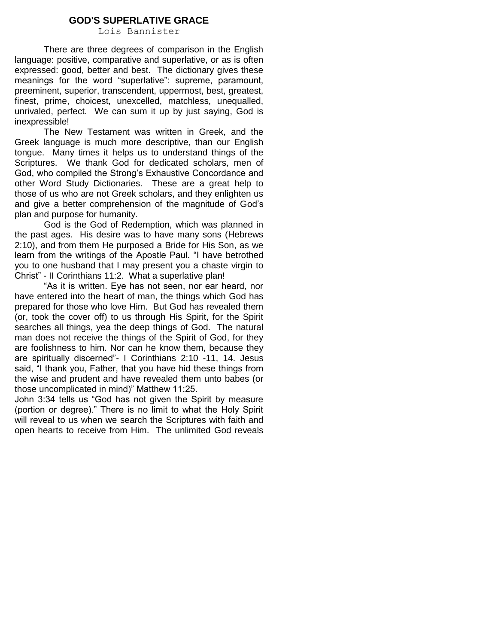### **GOD'S SUPERLATIVE GRACE**

Lois Bannister

There are three degrees of comparison in the English language: positive, comparative and superlative, or as is often expressed: good, better and best. The dictionary gives these meanings for the word "superlative": supreme, paramount, preeminent, superior, transcendent, uppermost, best, greatest, finest, prime, choicest, unexcelled, matchless, unequalled, unrivaled, perfect. We can sum it up by just saying, God is inexpressible!

The New Testament was written in Greek, and the Greek language is much more descriptive, than our English tongue. Many times it helps us to understand things of the Scriptures. We thank God for dedicated scholars, men of God, who compiled the Strong"s Exhaustive Concordance and other Word Study Dictionaries. These are a great help to those of us who are not Greek scholars, and they enlighten us and give a better comprehension of the magnitude of God"s plan and purpose for humanity.

God is the God of Redemption, which was planned in the past ages. His desire was to have many sons (Hebrews 2:10), and from them He purposed a Bride for His Son, as we learn from the writings of the Apostle Paul. "I have betrothed you to one husband that I may present you a chaste virgin to Christ" - II Corinthians 11:2. What a superlative plan!

"As it is written. Eye has not seen, nor ear heard, nor have entered into the heart of man, the things which God has prepared for those who love Him. But God has revealed them (or, took the cover off) to us through His Spirit, for the Spirit searches all things, yea the deep things of God. The natural man does not receive the things of the Spirit of God, for they are foolishness to him. Nor can he know them, because they are spiritually discerned"- I Corinthians 2:10 -11, 14. Jesus said, "I thank you, Father, that you have hid these things from the wise and prudent and have revealed them unto babes (or those uncomplicated in mind)" Matthew 11:25.

John 3:34 tells us "God has not given the Spirit by measure (portion or degree)." There is no limit to what the Holy Spirit will reveal to us when we search the Scriptures with faith and open hearts to receive from Him. The unlimited God reveals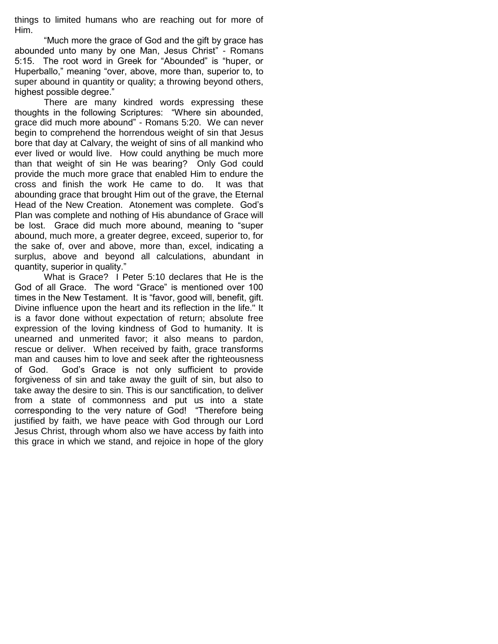things to limited humans who are reaching out for more of Him.

"Much more the grace of God and the gift by grace has abounded unto many by one Man, Jesus Christ" - Romans 5:15. The root word in Greek for "Abounded" is "huper, or Huperballo," meaning "over, above, more than, superior to, to super abound in quantity or quality; a throwing beyond others, highest possible degree."

There are many kindred words expressing these thoughts in the following Scriptures: "Where sin abounded, grace did much more abound" - Romans 5:20. We can never begin to comprehend the horrendous weight of sin that Jesus bore that day at Calvary, the weight of sins of all mankind who ever lived or would live. How could anything be much more than that weight of sin He was bearing? Only God could provide the much more grace that enabled Him to endure the cross and finish the work He came to do. It was that abounding grace that brought Him out of the grave, the Eternal Head of the New Creation. Atonement was complete. God"s Plan was complete and nothing of His abundance of Grace will be lost. Grace did much more abound, meaning to "super abound, much more, a greater degree, exceed, superior to, for the sake of, over and above, more than, excel, indicating a surplus, above and beyond all calculations, abundant in quantity, superior in quality."

What is Grace? I Peter 5:10 declares that He is the God of all Grace. The word "Grace" is mentioned over 100 times in the New Testament. It is "favor, good will, benefit, gift. Divine influence upon the heart and its reflection in the life." It is a favor done without expectation of return; absolute free expression of the loving kindness of God to humanity. It is unearned and unmerited favor; it also means to pardon, rescue or deliver. When received by faith, grace transforms man and causes him to love and seek after the righteousness of God. God"s Grace is not only sufficient to provide forgiveness of sin and take away the guilt of sin, but also to take away the desire to sin. This is our sanctification, to deliver from a state of commonness and put us into a state corresponding to the very nature of God! "Therefore being justified by faith, we have peace with God through our Lord Jesus Christ, through whom also we have access by faith into this grace in which we stand, and rejoice in hope of the glory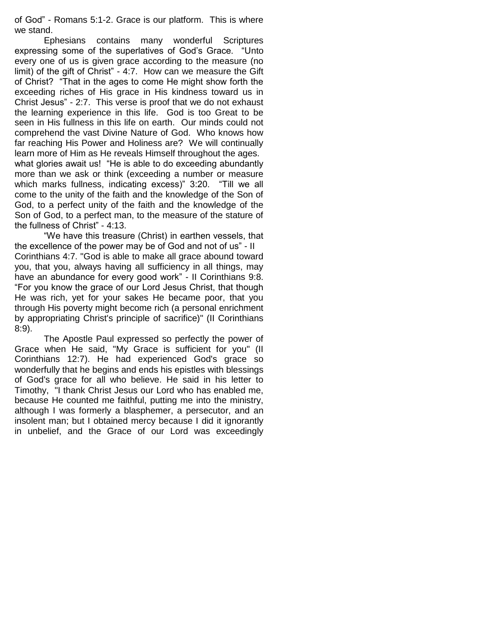of God" - Romans 5:1-2. Grace is our platform. This is where we stand.

Ephesians contains many wonderful Scriptures expressing some of the superlatives of God"s Grace. "Unto every one of us is given grace according to the measure (no limit) of the gift of Christ" - 4:7. How can we measure the Gift of Christ? "That in the ages to come He might show forth the exceeding riches of His grace in His kindness toward us in Christ Jesus" - 2:7. This verse is proof that we do not exhaust the learning experience in this life. God is too Great to be seen in His fullness in this life on earth. Our minds could not comprehend the vast Divine Nature of God. Who knows how far reaching His Power and Holiness are? We will continually learn more of Him as He reveals Himself throughout the ages. what glories await us! "He is able to do exceeding abundantly more than we ask or think (exceeding a number or measure which marks fullness, indicating excess)" 3:20. "Till we all come to the unity of the faith and the knowledge of the Son of God, to a perfect unity of the faith and the knowledge of the Son of God, to a perfect man, to the measure of the stature of

the fullness of Christ" - 4:13.

"We have this treasure (Christ) in earthen vessels, that the excellence of the power may be of God and not of us" - II Corinthians 4:7. "God is able to make all grace abound toward you, that you, always having all sufficiency in all things, may have an abundance for every good work" - II Corinthians 9:8. "For you know the grace of our Lord Jesus Christ, that though He was rich, yet for your sakes He became poor, that you through His poverty might become rich (a personal enrichment by appropriating Christ's principle of sacrifice)" (II Corinthians 8:9).

The Apostle Paul expressed so perfectly the power of Grace when He said, "My Grace is sufficient for you" (II Corinthians 12:7). He had experienced God's grace so wonderfully that he begins and ends his epistles with blessings of God's grace for all who believe. He said in his letter to Timothy, "I thank Christ Jesus our Lord who has enabled me, because He counted me faithful, putting me into the ministry, although I was formerly a blasphemer, a persecutor, and an insolent man; but I obtained mercy because I did it ignorantly in unbelief, and the Grace of our Lord was exceedingly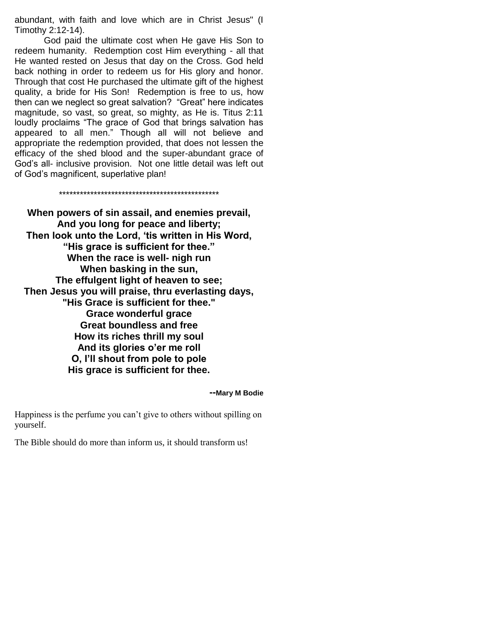abundant, with faith and love which are in Christ Jesus" (I Timothy 2:12-14).

God paid the ultimate cost when He gave His Son to redeem humanity. Redemption cost Him everything - all that He wanted rested on Jesus that day on the Cross. God held back nothing in order to redeem us for His glory and honor. Through that cost He purchased the ultimate gift of the highest quality, a bride for His Son! Redemption is free to us, how then can we neglect so great salvation? "Great" here indicates magnitude, so vast, so great, so mighty, as He is. Titus 2:11 loudly proclaims "The grace of God that brings salvation has appeared to all men." Though all will not believe and appropriate the redemption provided, that does not lessen the efficacy of the shed blood and the super-abundant grace of God"s all- inclusive provision. Not one little detail was left out of God"s magnificent, superlative plan!

\*\*\*\*\*\*\*\*\*\*\*\*\*\*\*\*\*\*\*\*\*\*\*\*\*\*\*\*\*\*\*\*\*\*\*\*\*\*\*\*\*\*\*\*\*\*

**When powers of sin assail, and enemies prevail, And you long for peace and liberty; Then look unto the Lord, "tis written in His Word, "His grace is sufficient for thee." When the race is well- nigh run When basking in the sun, The effulgent light of heaven to see; Then Jesus you will praise, thru everlasting days, "His Grace is sufficient for thee." Grace wonderful grace Great boundless and free How its riches thrill my soul And its glories o"er me roll O, I"ll shout from pole to pole His grace is sufficient for thee.**

#### **--Mary M Bodie**

Happiness is the perfume you can"t give to others without spilling on yourself.

The Bible should do more than inform us, it should transform us!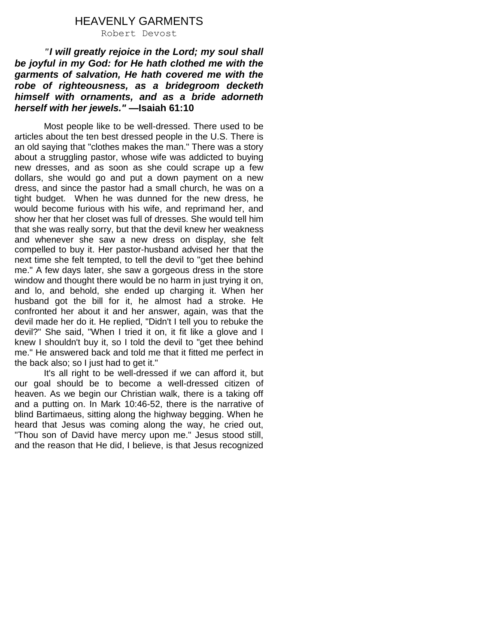# HEAVENLY GARMENTS

Robert Devost

*"I will greatly rejoice in the Lord; my soul shall be joyful in my God: for He hath clothed me with the garments of salvation, He hath covered me with the robe of righteousness, as a bridegroom decketh himself with ornaments, and as a bride adorneth herself with her jewels." —***Isaiah 61:10**

Most people like to be well-dressed. There used to be articles about the ten best dressed people in the U.S. There is an old saying that "clothes makes the man." There was a story about a struggling pastor, whose wife was addicted to buying new dresses, and as soon as she could scrape up a few dollars, she would go and put a down payment on a new dress, and since the pastor had a small church, he was on a tight budget. When he was dunned for the new dress, he would become furious with his wife, and reprimand her, and show her that her closet was full of dresses. She would tell him that she was really sorry, but that the devil knew her weakness and whenever she saw a new dress on display, she felt compelled to buy it. Her pastor-husband advised her that the next time she felt tempted, to tell the devil to "get thee behind me." A few days later, she saw a gorgeous dress in the store window and thought there would be no harm in just trying it on, and lo, and behold, she ended up charging it. When her husband got the bill for it, he almost had a stroke. He confronted her about it and her answer, again, was that the devil made her do it. He replied, "Didn't I tell you to rebuke the devil?" She said, "When I tried it on, it fit like a glove and I knew I shouldn't buy it, so I told the devil to "get thee behind me." He answered back and told me that it fitted me perfect in the back also; so I just had to get it."

It's all right to be well-dressed if we can afford it, but our goal should be to become a well-dressed citizen of heaven. As we begin our Christian walk, there is a taking off and a putting on. In Mark 10:46-52, there is the narrative of blind Bartimaeus, sitting along the highway begging. When he heard that Jesus was coming along the way, he cried out, "Thou son of David have mercy upon me." Jesus stood still, and the reason that He did, I believe, is that Jesus recognized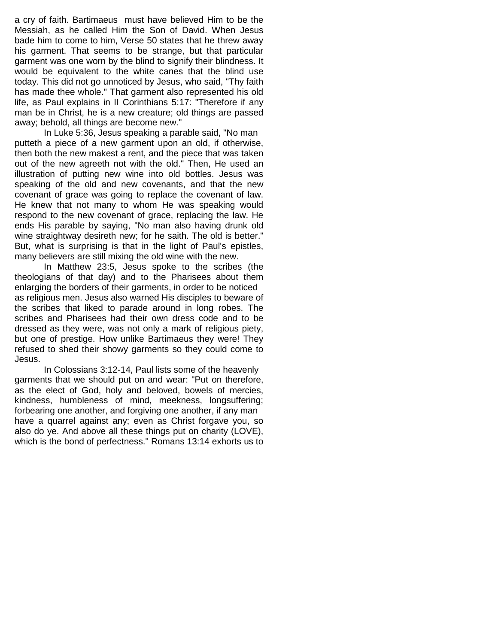a cry of faith. Bartimaeus must have believed Him to be the Messiah, as he called Him the Son of David. When Jesus bade him to come to him, Verse 50 states that he threw away his garment. That seems to be strange, but that particular garment was one worn by the blind to signify their blindness. It would be equivalent to the white canes that the blind use today. This did not go unnoticed by Jesus, who said, "Thy faith has made thee whole." That garment also represented his old life, as Paul explains in II Corinthians 5:17: "Therefore if any man be in Christ, he is a new creature; old things are passed away; behold, all things are become new."

In Luke 5:36, Jesus speaking a parable said, "No man putteth a piece of a new garment upon an old, if otherwise, then both the new makest a rent, and the piece that was taken out of the new agreeth not with the old." Then, He used an illustration of putting new wine into old bottles. Jesus was speaking of the old and new covenants, and that the new covenant of grace was going to replace the covenant of law. He knew that not many to whom He was speaking would respond to the new covenant of grace, replacing the law. He ends His parable by saying, "No man also having drunk old wine straightway desireth new; for he saith. The old is better." But, what is surprising is that in the light of Paul's epistles, many believers are still mixing the old wine with the new.

In Matthew 23:5, Jesus spoke to the scribes (the theologians of that day) and to the Pharisees about them enlarging the borders of their garments, in order to be noticed as religious men. Jesus also warned His disciples to beware of the scribes that liked to parade around in long robes. The scribes and Pharisees had their own dress code and to be dressed as they were, was not only a mark of religious piety, but one of prestige. How unlike Bartimaeus they were! They refused to shed their showy garments so they could come to Jesus.

In Colossians 3:12-14, Paul lists some of the heavenly garments that we should put on and wear: "Put on therefore, as the elect of God, holy and beloved, bowels of mercies, kindness, humbleness of mind, meekness, longsuffering; forbearing one another, and forgiving one another, if any man have a quarrel against any; even as Christ forgave you, so also do ye. And above all these things put on charity (LOVE), which is the bond of perfectness." Romans 13:14 exhorts us to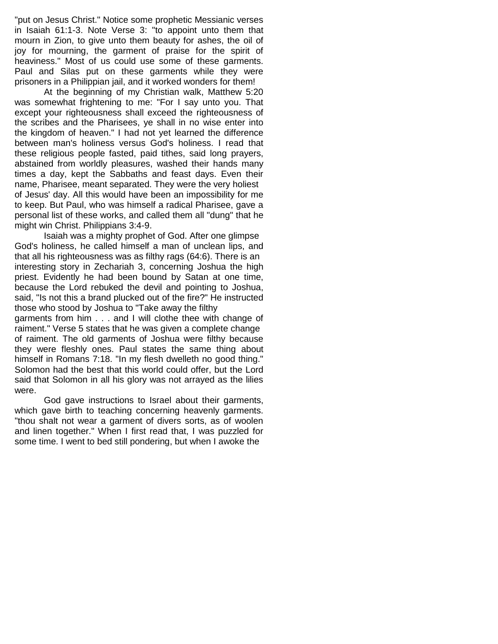"put on Jesus Christ." Notice some prophetic Messianic verses in Isaiah 61:1-3. Note Verse 3: "to appoint unto them that mourn in Zion, to give unto them beauty for ashes, the oil of joy for mourning, the garment of praise for the spirit of heaviness." Most of us could use some of these garments. Paul and Silas put on these garments while they were prisoners in a Philippian jail, and it worked wonders for them!

At the beginning of my Christian walk, Matthew 5:20 was somewhat frightening to me: "For I say unto you. That except your righteousness shall exceed the righteousness of the scribes and the Pharisees, ye shall in no wise enter into the kingdom of heaven." I had not yet learned the difference between man's holiness versus God's holiness. I read that these religious people fasted, paid tithes, said long prayers, abstained from worldly pleasures, washed their hands many times a day, kept the Sabbaths and feast days. Even their name, Pharisee, meant separated. They were the very holiest of Jesus' day. All this would have been an impossibility for me to keep. But Paul, who was himself a radical Pharisee, gave a personal list of these works, and called them all "dung" that he might win Christ. Philippians 3:4-9.

Isaiah was a mighty prophet of God. After one glimpse God's holiness, he called himself a man of unclean lips, and that all his righteousness was as filthy rags (64:6). There is an interesting story in Zechariah 3, concerning Joshua the high priest. Evidently he had been bound by Satan at one time, because the Lord rebuked the devil and pointing to Joshua, said, "Is not this a brand plucked out of the fire?" He instructed those who stood by Joshua to "Take away the filthy garments from him . . . and I will clothe thee with change of raiment." Verse 5 states that he was given a complete change of raiment. The old garments of Joshua were filthy because

they were fleshly ones. Paul states the same thing about himself in Romans 7:18. "In my flesh dwelleth no good thing." Solomon had the best that this world could offer, but the Lord said that Solomon in all his glory was not arrayed as the lilies were.

God gave instructions to Israel about their garments, which gave birth to teaching concerning heavenly garments. "thou shalt not wear a garment of divers sorts, as of woolen and linen together." When I first read that, I was puzzled for some time. I went to bed still pondering, but when I awoke the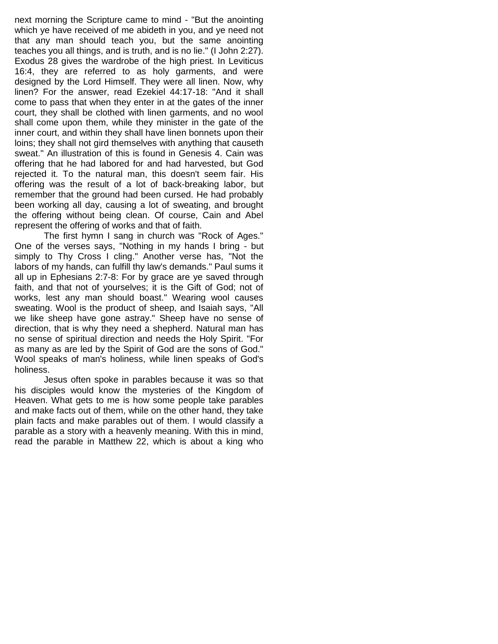next morning the Scripture came to mind - "But the anointing which ye have received of me abideth in you, and ye need not that any man should teach you, but the same anointing teaches you all things, and is truth, and is no lie." (I John 2:27). Exodus 28 gives the wardrobe of the high priest. In Leviticus 16:4, they are referred to as holy garments, and were designed by the Lord Himself. They were all linen. Now, why linen? For the answer, read Ezekiel 44:17-18: "And it shall come to pass that when they enter in at the gates of the inner court, they shall be clothed with linen garments, and no wool shall come upon them, while they minister in the gate of the inner court, and within they shall have linen bonnets upon their loins; they shall not gird themselves with anything that causeth sweat." An illustration of this is found in Genesis 4. Cain was offering that he had labored for and had harvested, but God rejected it. To the natural man, this doesn't seem fair. His offering was the result of a lot of back-breaking labor, but remember that the ground had been cursed. He had probably been working all day, causing a lot of sweating, and brought the offering without being clean. Of course, Cain and Abel represent the offering of works and that of faith.

The first hymn I sang in church was "Rock of Ages." One of the verses says, "Nothing in my hands I bring - but simply to Thy Cross I cling." Another verse has, "Not the labors of my hands, can fulfill thy law's demands." Paul sums it all up in Ephesians 2:7-8: For by grace are ye saved through faith, and that not of yourselves; it is the Gift of God; not of works, lest any man should boast." Wearing wool causes sweating. Wool is the product of sheep, and Isaiah says, "All we like sheep have gone astray." Sheep have no sense of direction, that is why they need a shepherd. Natural man has no sense of spiritual direction and needs the Holy Spirit. "For as many as are led by the Spirit of God are the sons of God." Wool speaks of man's holiness, while linen speaks of God's holiness.

Jesus often spoke in parables because it was so that his disciples would know the mysteries of the Kingdom of Heaven. What gets to me is how some people take parables and make facts out of them, while on the other hand, they take plain facts and make parables out of them. I would classify a parable as a story with a heavenly meaning. With this in mind, read the parable in Matthew 22, which is about a king who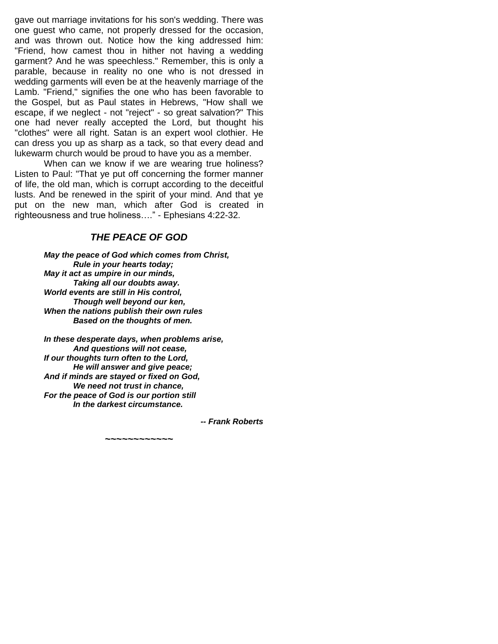gave out marriage invitations for his son's wedding. There was one guest who came, not properly dressed for the occasion, and was thrown out. Notice how the king addressed him: "Friend, how camest thou in hither not having a wedding garment? And he was speechless." Remember, this is only a parable, because in reality no one who is not dressed in wedding garments will even be at the heavenly marriage of the Lamb. "Friend," signifies the one who has been favorable to the Gospel, but as Paul states in Hebrews, "How shall we escape, if we neglect - not "reject" - so great salvation?" This one had never really accepted the Lord, but thought his "clothes" were all right. Satan is an expert wool clothier. He can dress you up as sharp as a tack, so that every dead and lukewarm church would be proud to have you as a member.

When can we know if we are wearing true holiness? Listen to Paul: "That ye put off concerning the former manner of life, the old man, which is corrupt according to the deceitful lusts. And be renewed in the spirit of your mind. And that ye put on the new man, which after God is created in righteousness and true holiness…." - Ephesians 4:22-32.

# *THE PEACE OF GOD*

*May the peace of God which comes from Christ, Rule in your hearts today; May it act as umpire in our minds, Taking all our doubts away. World events are still in His control, Though well beyond our ken, When the nations publish their own rules Based on the thoughts of men.*

*In these desperate days, when problems arise, And questions will not cease, If our thoughts turn often to the Lord, He will answer and give peace; And if minds are stayed or fixed on God, We need not trust in chance, For the peace of God is our portion still In the darkest circumstance.*

*-- Frank Roberts*

*~~~~~~~~~~~~*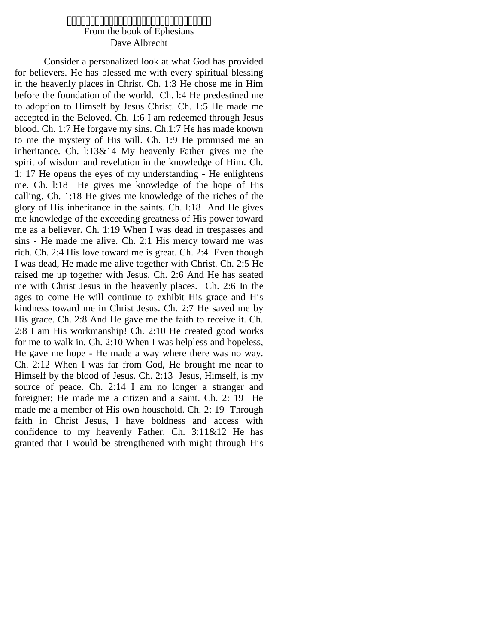# From the book of Ephesians Dave Albrecht

Consider a personalized look at what God has provided for believers. He has blessed me with every spiritual blessing in the heavenly places in Christ. Ch. 1:3 He chose me in Him before the foundation of the world. Ch. l:4 He predestined me to adoption to Himself by Jesus Christ. Ch. 1:5 He made me accepted in the Beloved. Ch. 1:6 I am redeemed through Jesus blood. Ch. 1:7 He forgave my sins. Ch.1:7 He has made known to me the mystery of His will. Ch. 1:9 He promised me an inheritance. Ch. l:13&14 My heavenly Father gives me the spirit of wisdom and revelation in the knowledge of Him. Ch. 1: 17 He opens the eyes of my understanding - He enlightens me. Ch. l:18 He gives me knowledge of the hope of His calling. Ch. 1:18 He gives me knowledge of the riches of the glory of His inheritance in the saints. Ch. l:18 And He gives me knowledge of the exceeding greatness of His power toward me as a believer. Ch. 1:19 When I was dead in trespasses and sins - He made me alive. Ch. 2:1 His mercy toward me was rich. Ch. 2:4 His love toward me is great. Ch. 2:4 Even though I was dead, He made me alive together with Christ. Ch. 2:5 He raised me up together with Jesus. Ch. 2:6 And He has seated me with Christ Jesus in the heavenly places. Ch. 2:6 In the ages to come He will continue to exhibit His grace and His kindness toward me in Christ Jesus. Ch. 2:7 He saved me by His grace. Ch. 2:8 And He gave me the faith to receive it. Ch. 2:8 I am His workmanship! Ch. 2:10 He created good works for me to walk in. Ch. 2:10 When I was helpless and hopeless, He gave me hope - He made a way where there was no way. Ch. 2:12 When I was far from God, He brought me near to Himself by the blood of Jesus. Ch. 2:13 Jesus, Himself, is my source of peace. Ch. 2:14 I am no longer a stranger and foreigner; He made me a citizen and a saint. Ch. 2: 19 He made me a member of His own household. Ch. 2: 19 Through faith in Christ Jesus, I have boldness and access with confidence to my heavenly Father. Ch. 3:11&12 He has granted that I would be strengthened with might through His